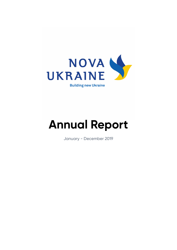

## **Annual Report**

January - December 2019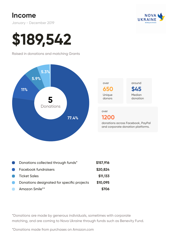### **Income**

January - December 2019



# **\$189,542**

Raised in donations and matching Grants





**\$45** Median donation around

#### over

#### **1200**

donations across Facebook, PayPal and corporate donation platforms.

| Œ              | Donations collected through funds*         | \$157,916 |
|----------------|--------------------------------------------|-----------|
| $\blacksquare$ | Facebook fundraisers                       | \$20,824  |
| $\blacksquare$ | <b>Ticket Sales</b>                        | \$11,133  |
| C.             | Donations designated for specific projects | \$10,095  |
|                | Amazon Smile**                             | \$706     |

\*Donations are made by generous individuals, sometimes with corporate matching, and are coming to Nova Ukraine through funds such as Benevity Fund.

\*Donations made from purchases on Amazon.com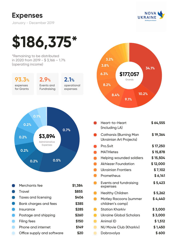## **Expenses**

January - December 2019







|   | Heart-to-Heart<br>(including LA)                  | \$64,555 |
|---|---------------------------------------------------|----------|
|   | Catharsis (Burning Man<br>Ukrainian Art Projects) | \$19,364 |
|   | Pro.Svit                                          | \$17,250 |
|   | <b>MATHletes</b>                                  | \$15,878 |
| O | Helping wounded soldiers                          | \$15,504 |
| n | <b>Akhiezer Foundation</b>                        | \$12,000 |
|   | Ukrainian Frontiers                               | \$7,102  |
| n | Prometheus                                        | \$6,141  |
|   | Events and fundraising<br>expenses                | \$5,423  |
|   | <b>Healthy Children</b>                           | \$5,262  |
|   | <b>Motley Racoons (summer</b><br>children's camp) | \$4,440  |
|   | <b>Station Kharkiv</b>                            | \$3,000  |
|   | Ukraine Global Scholars                           | \$3,000  |
|   | Animal ID                                         | \$1,512  |
|   | <b>NU Movie Club (Kharkiv)</b>                    | \$1,450  |
|   | Dobrovolya                                        | \$600    |
|   |                                                   |          |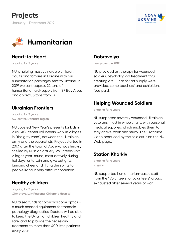



#### **Heart-to-Heart**

ongoing for 5 years

NU is helping most vulnerable children, adults and families in Ukraine with our humanitarian packages sent to Ukraine. In 2019 we sent approx. 22 tons of humanitarian aid/supply from SF Bay Area, and approx. 3 tons from LA.

#### **Ukrainian Frontiers**

ongoing for 2 years AC-center, Donbass region

NU covered New Year's presents for kids in 2019. AC-center volunteers work in villages in "the grey zone", between the Ukrainian army and the separatists. Project started in 2017, after the town of Avdiivka was heavily shelled by Russian artillery. Volunteers visit villages year-round, most actively during holidays, entertain and give out gifts, bringing cheer and lifting the spirits to people living in very difficult conditions.

#### **Healthy children**

ongoing for 2 years Ohmatdyt, Lviv Regional Children's Hospital

NU raised funds for bronchoscope optics a much needed equipment for thoracic pathology diagnostics. Doctors will be able to keep the Ukrainian children healthy and safe, and to provide the necessary treatment to more than 400 little patients every year.

#### **Dobrovolya**

new project in 2019

NU provided art therapy for wounded soldiers, psychological treatment thru creating art. Funds for art supply were provided, some teachers' and exhibitions fees paid.

#### **Helping Wounded Soldiers**

ongoing for 4 years

NU supported severely wounded Ukrainian veterans, most in wheelchairs, with personal medical supplies, which enables them to stay active, work and study. The Gratitude video produced by the soldiers is on the NU Web page.

#### **Station Kharkiv**

ongoing for 4 years Kharkiv

NU supported humanitarian-cases staff from the "Volunteers for volunteers" group, exhausted after several years of war.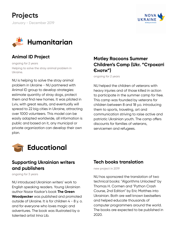



#### **Animal ID Project**

ongoing for 2 years Helping to solve the stray animal problem in Ukraine.

NU is helping to solve the stray animal problem in Ukraine - NU partnered with Animal ID group to develop strategies: estimate quantity of stray dogs, protect them and find new homes. It was piloted in Lviv, with great results, and eventually will spread to 22 big cities in Ukraine, attracting over 1000 volunteers. This model can be easily adapted worldwide, all information is public and based on it, any municipal or private organization can develop their own plan.

#### **Motley Racoons Summer Children's Camp (Ukr. "Строкаті**  $\epsilon$ ноти")

ongoing for 2 years

NU helped the children of veterans with heavy injuries and of those killed in action to participate in the summer camp for free. This camp was founded by veterans for children between 8 and 18 y.o. introducing them to sports, traveling, art and communication striving to raise active and patriotic Ukrainian youth. The camp offers discounts for families of veterans, servicemen and refugees.



#### **Supporting Ukrainian writers and publishers**

ongoing for 3 years

NU introduced Ukrainian writers' work to English speaking readers. Young Ukrainian author Nazar Kazkar's book **The Green Woodpecker** was published and promoted outside of Ukraine. It is for children 4 - 8 y. o. and for everyone who loves magic and adventures. The book was illustrated by a talented artist Irina Lib.

#### **Tech books translation**

new project in 2019

NU has sponsored the translation of two technical books: "Algorithms Unlocked" by Thomas H. Cormen and "Python Crash Course, 2nd Edition" by Eric Matthes into Ukrainian. Both are well known bestsellers and helped educate thousands of computer programmers around the world. The books are expected to be published in 2020.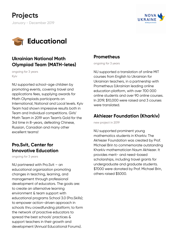



#### **Ukrainian National Math Olympiad Team (MATH-letes)**

ongoing for 3 years Kyiv

NU supported school-age children by promoting events, covering travel and applications fees, supplying awards for Math Olympiads participants on International, National and Local levels. Kyiv Team had shown impressive results both in Team and Individual competitions. Girls' Math Team in 2019 won Team's Gold for the 3rd time in 8-years, defeating Chinese, Russian, Canadian and many other excellent teams!

#### **Pro.Svit, Center for Innovative Education**

ongoing for 3 years

NU partnered with Pro.Svit – an educational organization promoting changes in teaching, learning, and management through professional development of educators. The goals are: to create an alternative learning environment & team support with educational programs School 3.0 (Pro.Skills); to empower action-driven approach in schools thru crowdfunding platform; to form the network of proactive educators to spread the best schools' practices & support teachers in their growth and development (Annual Educational Forums).

#### **Prometheus**

ongoing for 3 years

NU supported a translation of online MIT courses from English to Ukrainian for Ukrainian teachers, in a partnership with Prometheus (Ukrainian leading online education platform, with over 700 000 online students and over 90 online courses. In 2019, \$10,000 were raised and 3 courses were translated.

#### **Akhiezer Foundation (Kharkiv)**

new project in 2019

NU supported prominent young mathematics students in Kharkiv. The Akhiezer Foundation was created by Prof. Michael Brin to commemorate outstanding Kharkiv mathematician Naum Akhiezer. It provides merit- and need-based scholarships, including travel grants for undergraduate and graduate students. \$7000 were donated by Prof. Michael Brin, others raised \$5000.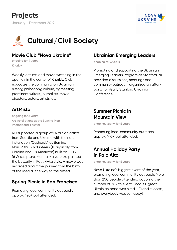



#### **Movie Club "Nova Ukraine"**

ongoing for 4 years Kharkiv

Weekly lectures and movie watching in the open air in the center of Kharkiv. Club educates the community on Ukrainian history, philosophy, culture, by meeting prominent writers, journalists, movie directors, actors, artists, etc.

#### **ArtMisto**

ongoing for 2 years Art installations at the Burning Man International Festival

NU supported a group of Ukrainian artists from Seattle and Ukraine with their art installation "Catharsis" at Burning Man-2019. 12 volunteers (11 originally from Ukraine and 1 is American) built an 11'H x 16'W sculpture. Marina Malyarenko painted the butterfly in Petrykivka style. A movie was recorded about the journey from the birth of the idea all the way to the desert.

#### **Spring Picnic in San Francisco**

Promoting local community outreach, approx. 120+ ppl attended.

#### **Ukrainian Emerging Leaders**

ongoing for 3 years

Promoting and supporting the Ukrainian Emerging Leaders Program at Stanford. NU provided discussions, meetings and community outreach, organized an afterparty for Yearly Stanford Ukrainian Conference.

#### **Summer Picnic in Mountain View**

ongoing, yearly, for 5 years

Promoting local community outreach, approx. 140+ ppl attended.

#### **Annual Holiday Party in Palo Alto**

ongoing, yearly, for 5 years

Nova Ukraine's biggest event of the year, promoting local community outreach. More than 200 people attended, doubling the number of 2018th event. Local SF great Ukrainian band was hired - Grand success, and everybody was so happy!